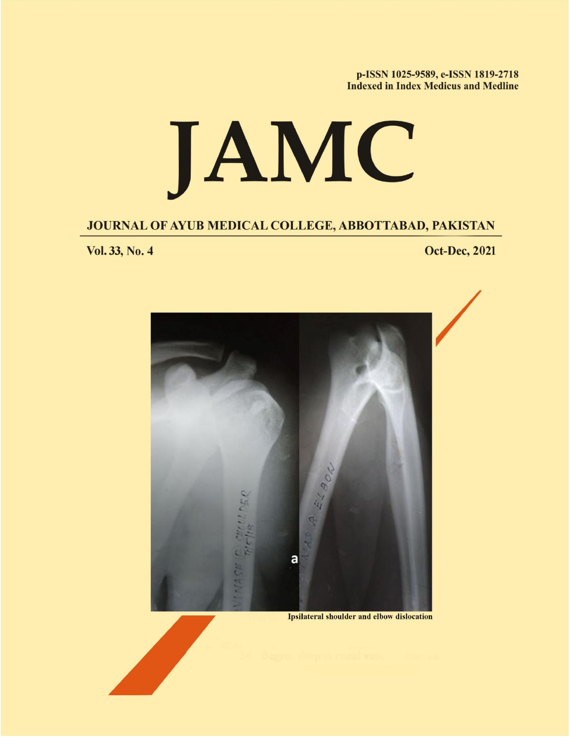p-ISSN 1025-9589, e-ISSN 1819-2718 **Indexed in Index Medicus and Medline** 

## JAMC

JOURNAL OF AYUB MEDICAL COLLEGE, ABBOTTABAD, PAKISTAN

Vol. 33, No. 4

**Oct-Dec, 2021** 



**Ipsilateral shoulder and elbow dislocation**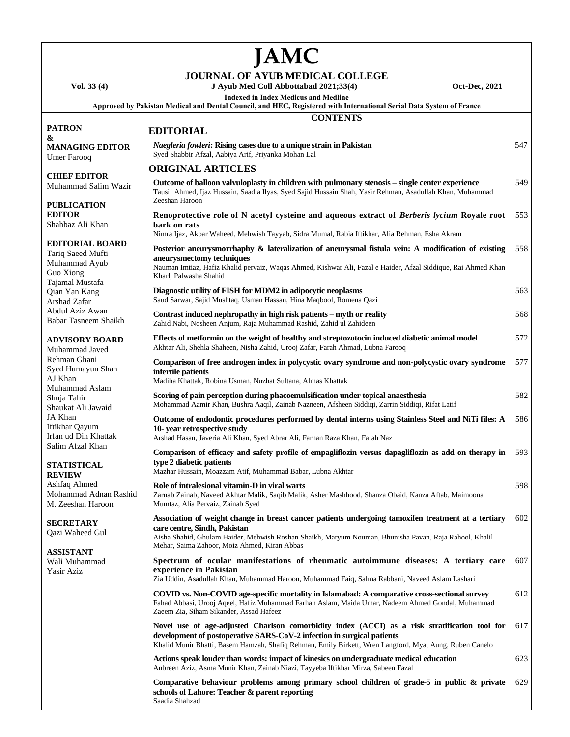## **JAMC**

## **JOURNAL OF AYUB MEDICAL COLLEGE**

## **PATRON & MANAGING EDITOR** Umer Farooq

**CHIEF EDITOR** Muhammad Salim Wazir

**PUBLICATION EDITOR** Shahbaz Ali Khan

**EDITORIAL BOARD** Tariq Saeed Mufti Muhammad Ayub Guo Xiong Tajamal Mustafa Qian Yan Kang Arshad Zafar Abdul Aziz Awan Babar Tasneem Shaikh

**ADVISORY BOARD**

Muhammad Javed Rehman Ghani Syed Humayun Shah AJ Khan Muhammad Aslam Shuja Tahir Shaukat Ali Jawaid JA Khan Iftikhar Qayum Irfan ud Din Khattak Salim Afzal Khan

**STATISTICAL REVIEW** Ashfaq Ahmed Mohammad Adnan Rashid M. Zeeshan Haroon

**SECRETARY** Qazi Waheed Gul

**ASSISTANT** Wali Muhammad

Yasir Aziz

| Vol. 33 (4)                                 | Oct-Dec, 2021<br>J Ayub Med Coll Abbottabad 2021;33(4)                                                                                                                                                                                                                                        |     |
|---------------------------------------------|-----------------------------------------------------------------------------------------------------------------------------------------------------------------------------------------------------------------------------------------------------------------------------------------------|-----|
|                                             | <b>Indexed in Index Medicus and Medline</b><br>Approved by Pakistan Medical and Dental Council, and HEC, Registered with International Serial Data System of France                                                                                                                           |     |
|                                             | <b>CONTENTS</b>                                                                                                                                                                                                                                                                               |     |
| ON                                          | <b>EDITORIAL</b>                                                                                                                                                                                                                                                                              |     |
| <b>GING EDITOR</b><br>arooq                 | <i>Naegleria fowleri:</i> Rising cases due to a unique strain in Pakistan<br>Syed Shabbir Afzal, Aabiya Arif, Priyanka Mohan Lal                                                                                                                                                              | 547 |
|                                             | <b>ORIGINAL ARTICLES</b>                                                                                                                                                                                                                                                                      |     |
| <b>EDITOR</b><br>ımad Salim Wazir           | Outcome of balloon valvuloplasty in children with pulmonary stenosis – single center experience<br>Tausif Ahmed, Ijaz Hussain, Saadia Ilyas, Syed Sajid Hussain Shah, Yasir Rehman, Asadullah Khan, Muhammad<br>Zeeshan Haroon                                                                | 549 |
| <b>ICATION</b><br>ЭR<br>z Ali Khan          | Renoprotective role of N acetyl cysteine and aqueous extract of Berberis lycium Royale root<br>bark on rats                                                                                                                                                                                   | 553 |
| <b>)RIAL BOARD</b>                          | Nimra Ijaz, Akbar Waheed, Mehwish Tayyab, Sidra Mumal, Rabia Iftikhar, Alia Rehman, Esha Akram                                                                                                                                                                                                |     |
| aeed Mufti<br>ımad Ayub<br>ong<br>l Mustafa | Posterior aneurysmorrhaphy & lateralization of aneurysmal fistula vein: A modification of existing<br>aneurysmectomy techniques<br>Nauman Imtiaz, Hafiz Khalid pervaiz, Waqas Ahmed, Kishwar Ali, Fazal e Haider, Afzal Siddique, Rai Ahmed Khan<br>Kharl, Palwasha Shahid                    | 558 |
| an Kang<br>Zafar                            | Diagnostic utility of FISH for MDM2 in adipocytic neoplasms<br>Saud Sarwar, Sajid Mushtaq, Usman Hassan, Hina Maqbool, Romena Qazi                                                                                                                                                            | 563 |
| Aziz Awan<br><b>Tasneem Shaikh</b>          | Contrast induced nephropathy in high risk patients – myth or reality<br>Zahid Nabi, Nosheen Anjum, Raja Muhammad Rashid, Zahid ul Zahideen                                                                                                                                                    | 568 |
| SORY BOARD<br>ımad Javed                    | Effects of metformin on the weight of healthy and streptozotocin induced diabetic animal model<br>Akhtar Ali, Shehla Shaheen, Nisha Zahid, Urooj Zafar, Farah Ahmad, Lubna Farooq                                                                                                             | 572 |
| n Ghani<br>umayun Shah<br>ın                | Comparison of free androgen index in polycystic ovary syndrome and non-polycystic ovary syndrome<br>infertile patients<br>Madiha Khattak, Robina Usman, Nuzhat Sultana, Almas Khattak                                                                                                         | 577 |
| ımad Aslam<br>`ahir<br>t Ali Jawaid         | Scoring of pain perception during phacoemulsification under topical anaesthesia<br>Mohammad Aamir Khan, Bushra Aaqil, Zainab Nazneen, Afsheen Siddiqi, Zarrin Siddiqi, Rifat Latif                                                                                                            | 582 |
| ın<br>: Qayum<br>1 Din Khattak              | Outcome of endodontic procedures performed by dental interns using Stainless Steel and NiTi files: A<br>10- year retrospective study<br>Arshad Hasan, Javeria Ali Khan, Syed Abrar Ali, Farhan Raza Khan, Farah Naz                                                                           | 586 |
| Afzal Khan<br><b>STICAL</b><br>ľW           | Comparison of efficacy and safety profile of empagliflozin versus dapagliflozin as add on therapy in<br>type 2 diabetic patients<br>Mazhar Hussain, Moazzam Atif, Muhammad Babar, Lubna Akhtar                                                                                                | 593 |
| Ahmed<br>ımad Adnan Rashid<br>shan Haroon   | Role of intralesional vitamin-D in viral warts<br>Zarnab Zainab, Naveed Akhtar Malik, Saqib Malik, Asher Mashhood, Shanza Obaid, Kanza Aftab, Maimoona<br>Mumtaz, Alia Pervaiz, Zainab Syed                                                                                                   | 598 |
| <b>ETARY</b><br>'aheed Gul                  | Association of weight change in breast cancer patients undergoing tamoxifen treatment at a tertiary<br>care centre, Sindh, Pakistan<br>Aisha Shahid, Ghulam Haider, Mehwish Roshan Shaikh, Maryum Nouman, Bhunisha Pavan, Raja Rahool, Khalil<br>Mehar, Saima Zahoor, Moiz Ahmed, Kiran Abbas | 602 |
| TANT<br>Iuhammad<br>تاxi                    | Spectrum of ocular manifestations of rheumatic autoimmune diseases: A tertiary care<br>experience in Pakistan<br>Zia Uddin, Asadullah Khan, Muhammad Haroon, Muhammad Faiq, Salma Rabbani, Naveed Aslam Lashari                                                                               | 607 |
|                                             | COVID vs. Non-COVID age-specific mortality in Islamabad: A comparative cross-sectional survey<br>Fahad Abbasi, Urooj Aqeel, Hafiz Muhammad Farhan Aslam, Maida Umar, Nadeem Ahmed Gondal, Muhammad<br>Zaeem Zia, Siham Sikander, Assad Hafeez                                                 | 612 |
|                                             | Novel use of age-adjusted Charlson comorbidity index (ACCI) as a risk stratification tool for<br>development of postoperative SARS-CoV-2 infection in surgical patients<br>Khalid Munir Bhatti, Basem Hamzah, Shafiq Rehman, Emily Birkett, Wren Langford, Myat Aung, Ruben Canelo            | 617 |
|                                             | Actions speak louder than words: impact of kinesics on undergraduate medical education<br>Anbreen Aziz, Asma Munir Khan, Zainab Niazi, Tayyeba Iftikhar Mirza, Sabeen Fazal                                                                                                                   | 623 |

**Comparative behaviour problems among primary school children of grade-5 in public & private**  629**schools of Lahore: Teacher & parent reporting** Saadia Shahzad